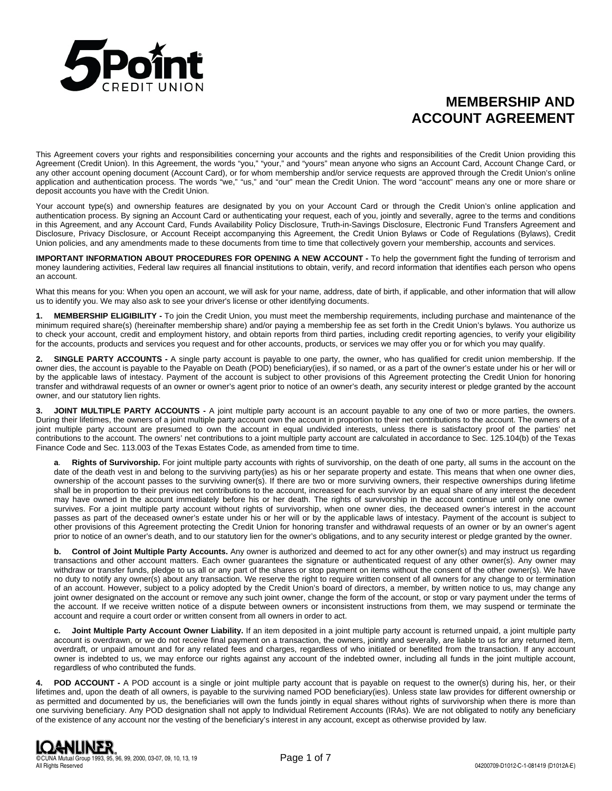

# **MEMBERSHIP AND ACCOUNT AGREEMENT**

This Agreement covers your rights and responsibilities concerning your accounts and the rights and responsibilities of the Credit Union providing this Agreement (Credit Union). In this Agreement, the words "you," "your," and "yours" mean anyone who signs an Account Card, Account Change Card, or any other account opening document (Account Card), or for whom membership and/or service requests are approved through the Credit Union's online application and authentication process. The words "we," "us," and "our" mean the Credit Union. The word "account" means any one or more share or deposit accounts you have with the Credit Union.

Your account type(s) and ownership features are designated by you on your Account Card or through the Credit Union's online application and authentication process. By signing an Account Card or authenticating your request, each of you, jointly and severally, agree to the terms and conditions in this Agreement, and any Account Card, Funds Availability Policy Disclosure, Truth-in-Savings Disclosure, Electronic Fund Transfers Agreement and Disclosure, Privacy Disclosure, or Account Receipt accompanying this Agreement, the Credit Union Bylaws or Code of Regulations (Bylaws), Credit Union policies, and any amendments made to these documents from time to time that collectively govern your membership, accounts and services.

**IMPORTANT INFORMATION ABOUT PROCEDURES FOR OPENING A NEW ACCOUNT -** To help the government fight the funding of terrorism and money laundering activities, Federal law requires all financial institutions to obtain, verify, and record information that identifies each person who opens an account.

What this means for you: When you open an account, we will ask for your name, address, date of birth, if applicable, and other information that will allow us to identify you. We may also ask to see your driver's license or other identifying documents.

**1. MEMBERSHIP ELIGIBILITY -** To join the Credit Union, you must meet the membership requirements, including purchase and maintenance of the minimum required share(s) (hereinafter membership share) and/or paying a membership fee as set forth in the Credit Union's bylaws. You authorize us to check your account, credit and employment history, and obtain reports from third parties, including credit reporting agencies, to verify your eligibility for the accounts, products and services you request and for other accounts, products, or services we may offer you or for which you may qualify.

**2. SINGLE PARTY ACCOUNTS -** A single party account is payable to one party, the owner, who has qualified for credit union membership. If the owner dies, the account is payable to the Payable on Death (POD) beneficiary(ies), if so named, or as a part of the owner's estate under his or her will or by the applicable laws of intestacy. Payment of the account is subject to other provisions of this Agreement protecting the Credit Union for honoring transfer and withdrawal requests of an owner or owner's agent prior to notice of an owner's death, any security interest or pledge granted by the account owner, and our statutory lien rights.

**JOINT MULTIPLE PARTY ACCOUNTS -** A joint multiple party account is an account payable to any one of two or more parties, the owners. During their lifetimes, the owners of a joint multiple party account own the account in proportion to their net contributions to the account. The owners of a joint multiple party account are presumed to own the account in equal undivided interests, unless there is satisfactory proof of the parties' net contributions to the account. The owners' net contributions to a joint multiple party account are calculated in accordance to Sec. 125.104(b) of the Texas Finance Code and Sec. 113.003 of the Texas Estates Code, as amended from time to time.

**a**. **Rights of Survivorship.** For joint multiple party accounts with rights of survivorship, on the death of one party, all sums in the account on the date of the death vest in and belong to the surviving party(ies) as his or her separate property and estate. This means that when one owner dies, ownership of the account passes to the surviving owner(s). If there are two or more surviving owners, their respective ownerships during lifetime shall be in proportion to their previous net contributions to the account, increased for each survivor by an equal share of any interest the decedent may have owned in the account immediately before his or her death. The rights of survivorship in the account continue until only one owner survives. For a joint multiple party account without rights of survivorship, when one owner dies, the deceased owner's interest in the account passes as part of the deceased owner's estate under his or her will or by the applicable laws of intestacy. Payment of the account is subject to other provisions of this Agreement protecting the Credit Union for honoring transfer and withdrawal requests of an owner or by an owner's agent prior to notice of an owner's death, and to our statutory lien for the owner's obligations, and to any security interest or pledge granted by the owner.

**b. Control of Joint Multiple Party Accounts.** Any owner is authorized and deemed to act for any other owner(s) and may instruct us regarding transactions and other account matters. Each owner guarantees the signature or authenticated request of any other owner(s). Any owner may withdraw or transfer funds, pledge to us all or any part of the shares or stop payment on items without the consent of the other owner(s). We have no duty to notify any owner(s) about any transaction. We reserve the right to require written consent of all owners for any change to or termination of an account. However, subject to a policy adopted by the Credit Union's board of directors, a member, by written notice to us, may change any joint owner designated on the account or remove any such joint owner, change the form of the account, or stop or vary payment under the terms of the account. If we receive written notice of a dispute between owners or inconsistent instructions from them, we may suspend or terminate the account and require a court order or written consent from all owners in order to act.

**c. Joint Multiple Party Account Owner Liability.** If an item deposited in a joint multiple party account is returned unpaid, a joint multiple party account is overdrawn, or we do not receive final payment on a transaction, the owners, jointly and severally, are liable to us for any returned item, overdraft, or unpaid amount and for any related fees and charges, regardless of who initiated or benefited from the transaction. If any account owner is indebted to us, we may enforce our rights against any account of the indebted owner, including all funds in the joint multiple account, regardless of who contributed the funds.

**4. POD ACCOUNT -** A POD account is a single or joint multiple party account that is payable on request to the owner(s) during his, her, or their lifetimes and, upon the death of all owners, is payable to the surviving named POD beneficiary(ies). Unless state law provides for different ownership or as permitted and documented by us, the beneficiaries will own the funds jointly in equal shares without rights of survivorship when there is more than one surviving beneficiary. Any POD designation shall not apply to Individual Retirement Accounts (IRAs). We are not obligated to notify any beneficiary of the existence of any account nor the vesting of the beneficiary's interest in any account, except as otherwise provided by law.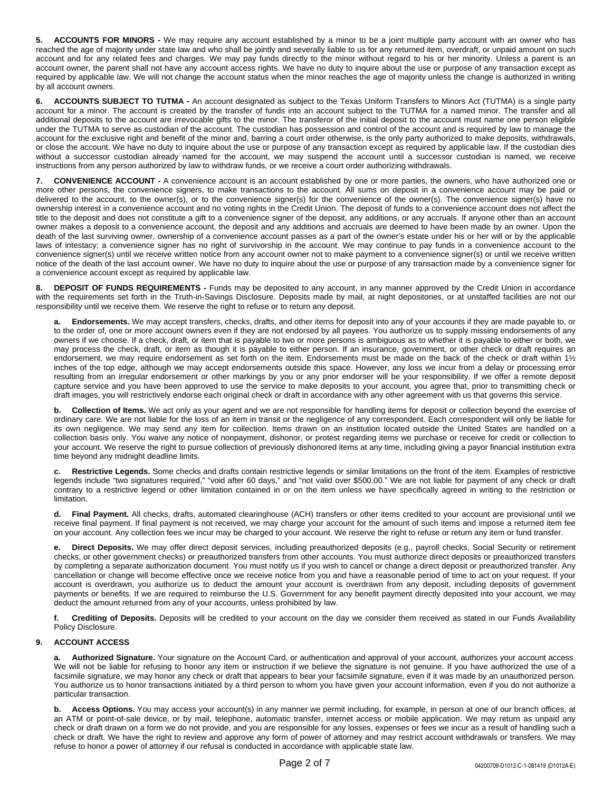**5. ACCOUNTS FOR MINORS -** We may require any account established by a minor to be a joint multiple party account with an owner who has reached the age of majority under state law and who shall be jointly and severally liable to us for any returned item, overdraft, or unpaid amount on such account and for any related fees and charges. We may pay funds directly to the minor without regard to his or her minority. Unless a parent is an account owner, the parent shall not have any account access rights. We have no duty to inquire about the use or purpose of any transaction except as required by applicable law. We will not change the account status when the minor reaches the age of majority unless the change is authorized in writing by all account owners.

**6. ACCOUNTS SUBJECT TO TUTMA -** An account designated as subject to the Texas Uniform Transfers to Minors Act (TUTMA) is a single party account for a minor. The account is created by the transfer of funds into an account subject to the TUTMA for a named minor. The transfer and all additional deposits to the account are irrevocable gifts to the minor. The transferor of the initial deposit to the account must name one person eligible under the TUTMA to serve as custodian of the account. The custodian has possession and control of the account and is required by law to manage the account for the exclusive right and benefit of the minor and, barring a court order otherwise, is the only party authorized to make deposits, withdrawals, or close the account. We have no duty to inquire about the use or purpose of any transaction except as required by applicable law. If the custodian dies without a successor custodian already named for the account, we may suspend the account until a successor custodian is named, we receive instructions from any person authorized by law to withdraw funds, or we receive a court order authorizing withdrawals.

**7. CONVENIENCE ACCOUNT -** A convenience account is an account established by one or more parties, the owners, who have authorized one or more other persons, the convenience signers, to make transactions to the account. All sums on deposit in a convenience account may be paid or delivered to the account, to the owner(s), or to the convenience signer(s) for the convenience of the owner(s). The convenience signer(s) have no ownership interest in a convenience account and no voting rights in the Credit Union. The deposit of funds to a convenience account does not affect the title to the deposit and does not constitute a gift to a convenience signer of the deposit, any additions, or any accruals. If anyone other than an account owner makes a deposit to a convenience account, the deposit and any additions and accruals are deemed to have been made by an owner. Upon the death of the last surviving owner, ownership of a convenience account passes as a part of the owner's estate under his or her will or by the applicable laws of intestacy; a convenience signer has no right of survivorship in the account. We may continue to pay funds in a convenience account to the convenience signer(s) until we receive written notice from any account owner not to make payment to a convenience signer(s) or until we receive written notice of the death of the last account owner. We have no duty to inquire about the use or purpose of any transaction made by a convenience signer for a convenience account except as required by applicable law.

**DEPOSIT OF FUNDS REQUIREMENTS -** Funds may be deposited to any account, in any manner approved by the Credit Union in accordance with the requirements set forth in the Truth-in-Savings Disclosure. Deposits made by mail, at night depositories, or at unstaffed facilities are not our responsibility until we receive them. We reserve the right to refuse or to return any deposit.

**a. Endorsements.** We may accept transfers, checks, drafts, and other items for deposit into any of your accounts if they are made payable to, or to the order of, one or more account owners even if they are not endorsed by all payees. You authorize us to supply missing endorsements of any owners if we choose. If a check, draft, or item that is payable to two or more persons is ambiguous as to whether it is payable to either or both, we may process the check, draft, or item as though it is payable to either person. If an insurance, government, or other check or draft requires an endorsement, we may require endorsement as set forth on the item. Endorsements must be made on the back of the check or draft within 1½ inches of the top edge, although we may accept endorsements outside this space. However, any loss we incur from a delay or processing error resulting from an irregular endorsement or other markings by you or any prior endorser will be your responsibility. If we offer a remote deposit capture service and you have been approved to use the service to make deposits to your account, you agree that, prior to transmitting check or draft images, you will restrictively endorse each original check or draft in accordance with any other agreement with us that governs this service.

**b. Collection of Items.** We act only as your agent and we are not responsible for handling items for deposit or collection beyond the exercise of ordinary care. We are not liable for the loss of an item in transit or the negligence of any correspondent. Each correspondent will only be liable for its own negligence. We may send any item for collection. Items drawn on an institution located outside the United States are handled on a collection basis only. You waive any notice of nonpayment, dishonor, or protest regarding items we purchase or receive for credit or collection to your account. We reserve the right to pursue collection of previously dishonored items at any time, including giving a payor financial institution extra time beyond any midnight deadline limits.

**c. Restrictive Legends.** Some checks and drafts contain restrictive legends or similar limitations on the front of the item. Examples of restrictive legends include "two signatures required," "void after 60 days," and "not valid over \$500.00." We are not liable for payment of any check or draft contrary to a restrictive legend or other limitation contained in or on the item unless we have specifically agreed in writing to the restriction or limitation.

**d. Final Payment.** All checks, drafts, automated clearinghouse (ACH) transfers or other items credited to your account are provisional until we receive final payment. If final payment is not received, we may charge your account for the amount of such items and impose a returned item fee on your account. Any collection fees we incur may be charged to your account. We reserve the right to refuse or return any item or fund transfer.

Direct Deposits. We may offer direct deposit services, including preauthorized deposits (e.g., payroll checks, Social Security or retirement checks, or other government checks) or preauthorized transfers from other accounts. You must authorize direct deposits or preauthorized transfers by completing a separate authorization document. You must notify us if you wish to cancel or change a direct deposit or preauthorized transfer. Any cancellation or change will become effective once we receive notice from you and have a reasonable period of time to act on your request. If your account is overdrawn, you authorize us to deduct the amount your account is overdrawn from any deposit, including deposits of government payments or benefits. If we are required to reimburse the U.S. Government for any benefit payment directly deposited into your account, we may deduct the amount returned from any of your accounts, unless prohibited by law.

**f. Crediting of Deposits.** Deposits will be credited to your account on the day we consider them received as stated in our Funds Availability Policy Disclosure.

# **9. ACCOUNT ACCESS**

Authorized Signature. Your signature on the Account Card, or authentication and approval of your account, authorizes your account access. We will not be liable for refusing to honor any item or instruction if we believe the signature is not genuine. If you have authorized the use of a facsimile signature, we may honor any check or draft that appears to bear your facsimile signature, even if it was made by an unauthorized person. You authorize us to honor transactions initiated by a third person to whom you have given your account information, even if you do not authorize a particular transaction.

**b.** Access Options. You may access your account(s) in any manner we permit including, for example, in person at one of our branch offices, at an ATM or point-of-sale device, or by mail, telephone, automatic transfer, internet access or mobile application. We may return as unpaid any check or draft drawn on a form we do not provide, and you are responsible for any losses, expenses or fees we incur as a result of handling such a check or draft. We have the right to review and approve any form of power of attorney and may restrict account withdrawals or transfers. We may refuse to honor a power of attorney if our refusal is conducted in accordance with applicable state law.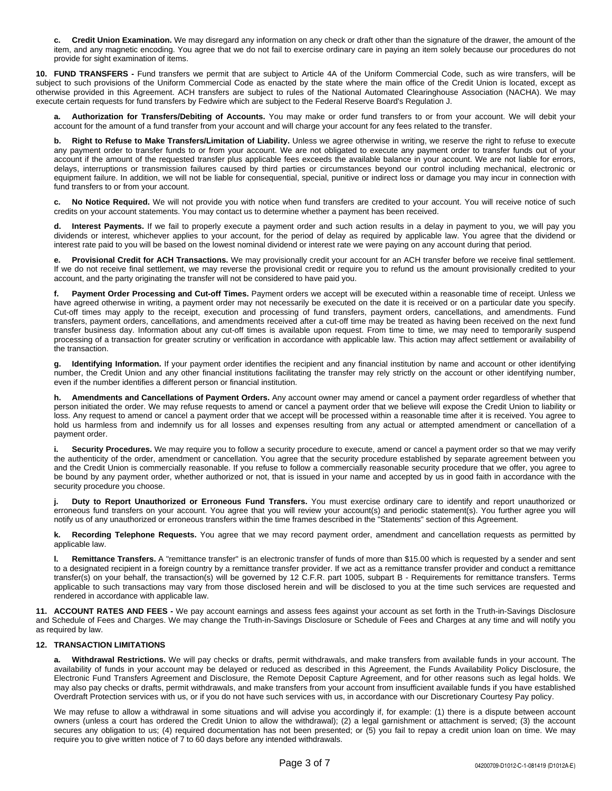**c. Credit Union Examination.** We may disregard any information on any check or draft other than the signature of the drawer, the amount of the item, and any magnetic encoding. You agree that we do not fail to exercise ordinary care in paying an item solely because our procedures do not provide for sight examination of items.

**10. FUND TRANSFERS -** Fund transfers we permit that are subject to Article 4A of the Uniform Commercial Code, such as wire transfers, will be subject to such provisions of the Uniform Commercial Code as enacted by the state where the main office of the Credit Union is located, except as otherwise provided in this Agreement. ACH transfers are subject to rules of the National Automated Clearinghouse Association (NACHA). We may execute certain requests for fund transfers by Fedwire which are subject to the Federal Reserve Board's Regulation J.

**a. Authorization for Transfers/Debiting of Accounts.** You may make or order fund transfers to or from your account. We will debit your account for the amount of a fund transfer from your account and will charge your account for any fees related to the transfer.

**b. Right to Refuse to Make Transfers/Limitation of Liability.** Unless we agree otherwise in writing, we reserve the right to refuse to execute any payment order to transfer funds to or from your account. We are not obligated to execute any payment order to transfer funds out of your account if the amount of the requested transfer plus applicable fees exceeds the available balance in your account. We are not liable for errors, delays, interruptions or transmission failures caused by third parties or circumstances beyond our control including mechanical, electronic or equipment failure. In addition, we will not be liable for consequential, special, punitive or indirect loss or damage you may incur in connection with fund transfers to or from your account.

**c. No Notice Required.** We will not provide you with notice when fund transfers are credited to your account. You will receive notice of such credits on your account statements. You may contact us to determine whether a payment has been received.

Interest Payments. If we fail to properly execute a payment order and such action results in a delay in payment to you, we will pay you dividends or interest, whichever applies to your account, for the period of delay as required by applicable law. You agree that the dividend or interest rate paid to you will be based on the lowest nominal dividend or interest rate we were paying on any account during that period.

**e. Provisional Credit for ACH Transactions.** We may provisionally credit your account for an ACH transfer before we receive final settlement. If we do not receive final settlement, we may reverse the provisional credit or require you to refund us the amount provisionally credited to your account, and the party originating the transfer will not be considered to have paid you.

Payment Order Processing and Cut-off Times. Payment orders we accept will be executed within a reasonable time of receipt. Unless we have agreed otherwise in writing, a payment order may not necessarily be executed on the date it is received or on a particular date you specify. Cut-off times may apply to the receipt, execution and processing of fund transfers, payment orders, cancellations, and amendments. Fund transfers, payment orders, cancellations, and amendments received after a cut-off time may be treated as having been received on the next fund transfer business day. Information about any cut-off times is available upon request. From time to time, we may need to temporarily suspend processing of a transaction for greater scrutiny or verification in accordance with applicable law. This action may affect settlement or availability of the transaction.

**g. Identifying Information.** If your payment order identifies the recipient and any financial institution by name and account or other identifying number, the Credit Union and any other financial institutions facilitating the transfer may rely strictly on the account or other identifying number, even if the number identifies a different person or financial institution.

**h. Amendments and Cancellations of Payment Orders.** Any account owner may amend or cancel a payment order regardless of whether that person initiated the order. We may refuse requests to amend or cancel a payment order that we believe will expose the Credit Union to liability or loss. Any request to amend or cancel a payment order that we accept will be processed within a reasonable time after it is received. You agree to hold us harmless from and indemnify us for all losses and expenses resulting from any actual or attempted amendment or cancellation of a payment order.

i. Security Procedures. We may require you to follow a security procedure to execute, amend or cancel a payment order so that we may verify the authenticity of the order, amendment or cancellation. You agree that the security procedure established by separate agreement between you and the Credit Union is commercially reasonable. If you refuse to follow a commercially reasonable security procedure that we offer, you agree to be bound by any payment order, whether authorized or not, that is issued in your name and accepted by us in good faith in accordance with the security procedure you choose.

**j. Duty to Report Unauthorized or Erroneous Fund Transfers.** You must exercise ordinary care to identify and report unauthorized or erroneous fund transfers on your account. You agree that you will review your account(s) and periodic statement(s). You further agree you will notify us of any unauthorized or erroneous transfers within the time frames described in the "Statements" section of this Agreement.

**k. Recording Telephone Requests.** You agree that we may record payment order, amendment and cancellation requests as permitted by applicable law.

**l. Remittance Transfers.** A "remittance transfer" is an electronic transfer of funds of more than \$15.00 which is requested by a sender and sent to a designated recipient in a foreign country by a remittance transfer provider. If we act as a remittance transfer provider and conduct a remittance transfer(s) on your behalf, the transaction(s) will be governed by 12 C.F.R. part 1005, subpart B - Requirements for remittance transfers. Terms applicable to such transactions may vary from those disclosed herein and will be disclosed to you at the time such services are requested and rendered in accordance with applicable law.

**11. ACCOUNT RATES AND FEES -** We pay account earnings and assess fees against your account as set forth in the Truth-in-Savings Disclosure and Schedule of Fees and Charges. We may change the Truth-in-Savings Disclosure or Schedule of Fees and Charges at any time and will notify you as required by law.

# **12. TRANSACTION LIMITATIONS**

**a. Withdrawal Restrictions.** We will pay checks or drafts, permit withdrawals, and make transfers from available funds in your account. The availability of funds in your account may be delayed or reduced as described in this Agreement, the Funds Availability Policy Disclosure, the Electronic Fund Transfers Agreement and Disclosure, the Remote Deposit Capture Agreement, and for other reasons such as legal holds. We may also pay checks or drafts, permit withdrawals, and make transfers from your account from insufficient available funds if you have established Overdraft Protection services with us, or if you do not have such services with us, in accordance with our Discretionary Courtesy Pay policy.

We may refuse to allow a withdrawal in some situations and will advise you accordingly if, for example: (1) there is a dispute between account owners (unless a court has ordered the Credit Union to allow the withdrawal); (2) a legal garnishment or attachment is served; (3) the account secures any obligation to us; (4) required documentation has not been presented; or (5) you fail to repay a credit union loan on time. We may require you to give written notice of 7 to 60 days before any intended withdrawals.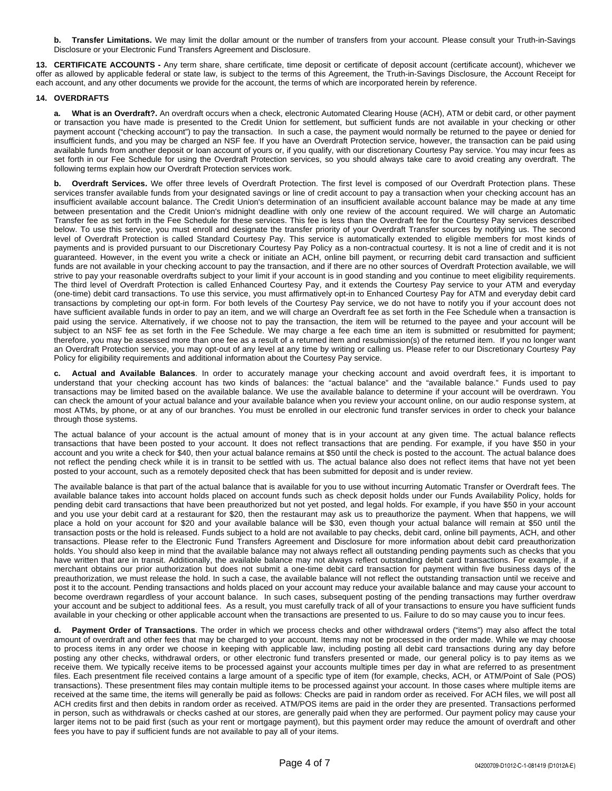**b. Transfer Limitations.** We may limit the dollar amount or the number of transfers from your account. Please consult your Truth-in-Savings Disclosure or your Electronic Fund Transfers Agreement and Disclosure.

**13. CERTIFICATE ACCOUNTS -** Any term share, share certificate, time deposit or certificate of deposit account (certificate account), whichever we offer as allowed by applicable federal or state law, is subject to the terms of this Agreement, the Truth-in-Savings Disclosure, the Account Receipt for each account, and any other documents we provide for the account, the terms of which are incorporated herein by reference.

## **14. OVERDRAFTS**

**a. What is an Overdraft?.** An overdraft occurs when a check, electronic Automated Clearing House (ACH), ATM or debit card, or other payment or transaction you have made is presented to the Credit Union for settlement, but sufficient funds are not available in your checking or other payment account ("checking account") to pay the transaction. In such a case, the payment would normally be returned to the payee or denied for insufficient funds, and you may be charged an NSF fee. If you have an Overdraft Protection service, however, the transaction can be paid using available funds from another deposit or loan account of yours or, if you qualify, with our discretionary Courtesy Pay service. You may incur fees as set forth in our Fee Schedule for using the Overdraft Protection services, so you should always take care to avoid creating any overdraft. The following terms explain how our Overdraft Protection services work.

**b. Overdraft Services.** We offer three levels of Overdraft Protection. The first level is composed of our Overdraft Protection plans. These services transfer available funds from your designated savings or line of credit account to pay a transaction when your checking account has an insufficient available account balance. The Credit Union's determination of an insufficient available account balance may be made at any time between presentation and the Credit Union's midnight deadline with only one review of the account required. We will charge an Automatic Transfer fee as set forth in the Fee Schedule for these services. This fee is less than the Overdraft fee for the Courtesy Pay services described below. To use this service, you must enroll and designate the transfer priority of your Overdraft Transfer sources by notifying us. The second level of Overdraft Protection is called Standard Courtesy Pay. This service is automatically extended to eligible members for most kinds of payments and is provided pursuant to our Discretionary Courtesy Pay Policy as a non-contractual courtesy. It is not a line of credit and it is not guaranteed. However, in the event you write a check or initiate an ACH, online bill payment, or recurring debit card transaction and sufficient funds are not available in your checking account to pay the transaction, and if there are no other sources of Overdraft Protection available, we will strive to pay your reasonable overdrafts subject to your limit if your account is in good standing and you continue to meet eligibility requirements. The third level of Overdraft Protection is called Enhanced Courtesy Pay, and it extends the Courtesy Pay service to your ATM and everyday (one-time) debit card transactions. To use this service, you must affirmatively opt-in to Enhanced Courtesy Pay for ATM and everyday debit card transactions by completing our opt-in form. For both levels of the Courtesy Pay service, we do not have to notify you if your account does not have sufficient available funds in order to pay an item, and we will charge an Overdraft fee as set forth in the Fee Schedule when a transaction is paid using the service. Alternatively, if we choose not to pay the transaction, the item will be returned to the payee and your account will be subject to an NSF fee as set forth in the Fee Schedule. We may charge a fee each time an item is submitted or resubmitted for payment; therefore, you may be assessed more than one fee as a result of a returned item and resubmission(s) of the returned item. If you no longer want an Overdraft Protection service, you may opt-out of any level at any time by writing or calling us. Please refer to our Discretionary Courtesy Pay Policy for eligibility requirements and additional information about the Courtesy Pay service.

Actual and Available Balances. In order to accurately manage your checking account and avoid overdraft fees, it is important to understand that your checking account has two kinds of balances: the "actual balance" and the "available balance." Funds used to pay transactions may be limited based on the available balance. We use the available balance to determine if your account will be overdrawn. You can check the amount of your actual balance and your available balance when you review your account online, on our audio response system, at most ATMs, by phone, or at any of our branches. You must be enrolled in our electronic fund transfer services in order to check your balance through those systems.

The actual balance of your account is the actual amount of money that is in your account at any given time. The actual balance reflects transactions that have been posted to your account. It does not reflect transactions that are pending. For example, if you have \$50 in your account and you write a check for \$40, then your actual balance remains at \$50 until the check is posted to the account. The actual balance does not reflect the pending check while it is in transit to be settled with us. The actual balance also does not reflect items that have not yet been posted to your account, such as a remotely deposited check that has been submitted for deposit and is under review.

The available balance is that part of the actual balance that is available for you to use without incurring Automatic Transfer or Overdraft fees. The available balance takes into account holds placed on account funds such as check deposit holds under our Funds Availability Policy, holds for pending debit card transactions that have been preauthorized but not yet posted, and legal holds. For example, if you have \$50 in your account and you use your debit card at a restaurant for \$20, then the restaurant may ask us to preauthorize the payment. When that happens, we will place a hold on your account for \$20 and your available balance will be \$30, even though your actual balance will remain at \$50 until the transaction posts or the hold is released. Funds subject to a hold are not available to pay checks, debit card, online bill payments, ACH, and other transactions. Please refer to the Electronic Fund Transfers Agreement and Disclosure for more information about debit card preauthorization holds. You should also keep in mind that the available balance may not always reflect all outstanding pending payments such as checks that you have written that are in transit. Additionally, the available balance may not always reflect outstanding debit card transactions. For example, if a merchant obtains our prior authorization but does not submit a one-time debit card transaction for payment within five business days of the preauthorization, we must release the hold. In such a case, the available balance will not reflect the outstanding transaction until we receive and post it to the account. Pending transactions and holds placed on your account may reduce your available balance and may cause your account to become overdrawn regardless of your account balance. In such cases, subsequent posting of the pending transactions may further overdraw your account and be subject to additional fees. As a result, you must carefully track of all of your transactions to ensure you have sufficient funds available in your checking or other applicable account when the transactions are presented to us. Failure to do so may cause you to incur fees.

**d. Payment Order of Transactions**. The order in which we process checks and other withdrawal orders ("items") may also affect the total amount of overdraft and other fees that may be charged to your account. Items may not be processed in the order made. While we may choose to process items in any order we choose in keeping with applicable law, including posting all debit card transactions during any day before posting any other checks, withdrawal orders, or other electronic fund transfers presented or made, our general policy is to pay items as we receive them. We typically receive items to be processed against your accounts multiple times per day in what are referred to as presentment files. Each presentment file received contains a large amount of a specific type of item (for example, checks, ACH, or ATM/Point of Sale (POS) transactions). These presentment files may contain multiple items to be processed against your account. In those cases where multiple items are received at the same time, the items will generally be paid as follows: Checks are paid in random order as received. For ACH files, we will post all ACH credits first and then debits in random order as received. ATM/POS items are paid in the order they are presented. Transactions performed in person, such as withdrawals or checks cashed at our stores, are generally paid when they are performed. Our payment policy may cause your larger items not to be paid first (such as your rent or mortgage payment), but this payment order may reduce the amount of overdraft and other fees you have to pay if sufficient funds are not available to pay all of your items.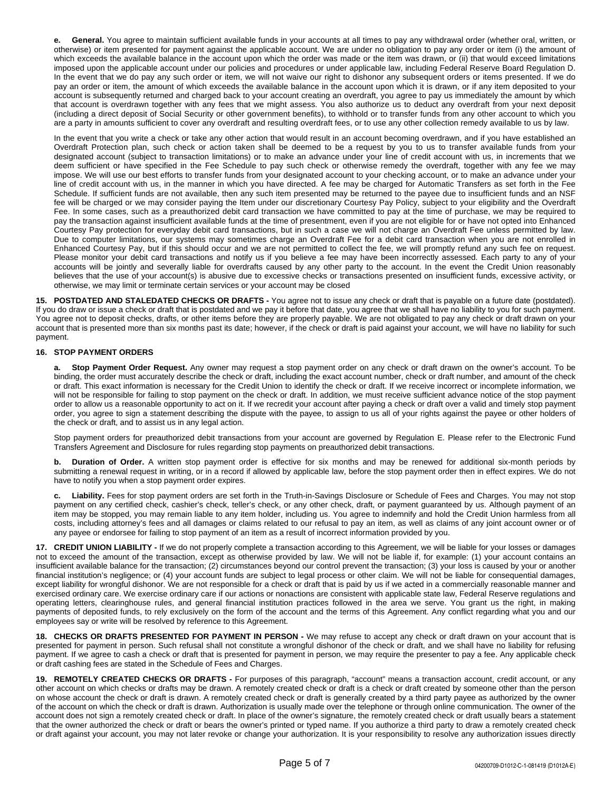**e. General.** You agree to maintain sufficient available funds in your accounts at all times to pay any withdrawal order (whether oral, written, or otherwise) or item presented for payment against the applicable account. We are under no obligation to pay any order or item (i) the amount of which exceeds the available balance in the account upon which the order was made or the item was drawn, or (ii) that would exceed limitations imposed upon the applicable account under our policies and procedures or under applicable law, including Federal Reserve Board Regulation D. In the event that we do pay any such order or item, we will not waive our right to dishonor any subsequent orders or items presented. If we do pay an order or item, the amount of which exceeds the available balance in the account upon which it is drawn, or if any item deposited to your account is subsequently returned and charged back to your account creating an overdraft, you agree to pay us immediately the amount by which that account is overdrawn together with any fees that we might assess. You also authorize us to deduct any overdraft from your next deposit (including a direct deposit of Social Security or other government benefits), to withhold or to transfer funds from any other account to which you are a party in amounts sufficient to cover any overdraft and resulting overdraft fees, or to use any other collection remedy available to us by law.

In the event that you write a check or take any other action that would result in an account becoming overdrawn, and if you have established an Overdraft Protection plan, such check or action taken shall be deemed to be a request by you to us to transfer available funds from your designated account (subject to transaction limitations) or to make an advance under your line of credit account with us, in increments that we deem sufficient or have specified in the Fee Schedule to pay such check or otherwise remedy the overdraft, together with any fee we may impose. We will use our best efforts to transfer funds from your designated account to your checking account, or to make an advance under your line of credit account with us, in the manner in which you have directed. A fee may be charged for Automatic Transfers as set forth in the Fee Schedule. If sufficient funds are not available, then any such item presented may be returned to the payee due to insufficient funds and an NSF fee will be charged or we may consider paying the Item under our discretionary Courtesy Pay Policy, subject to your eligibility and the Overdraft Fee. In some cases, such as a preauthorized debit card transaction we have committed to pay at the time of purchase, we may be required to pay the transaction against insufficient available funds at the time of presentment, even if you are not eligible for or have not opted into Enhanced Courtesy Pay protection for everyday debit card transactions, but in such a case we will not charge an Overdraft Fee unless permitted by law. Due to computer limitations, our systems may sometimes charge an Overdraft Fee for a debit card transaction when you are not enrolled in Enhanced Courtesy Pay, but if this should occur and we are not permitted to collect the fee, we will promptly refund any such fee on request. Please monitor your debit card transactions and notify us if you believe a fee may have been incorrectly assessed. Each party to any of your accounts will be jointly and severally liable for overdrafts caused by any other party to the account. In the event the Credit Union reasonably believes that the use of your account(s) is abusive due to excessive checks or transactions presented on insufficient funds, excessive activity, or otherwise, we may limit or terminate certain services or your account may be closed

**15. POSTDATED AND STALEDATED CHECKS OR DRAFTS -** You agree not to issue any check or draft that is payable on a future date (postdated). If you do draw or issue a check or draft that is postdated and we pay it before that date, you agree that we shall have no liability to you for such payment. You agree not to deposit checks, drafts, or other items before they are properly payable. We are not obligated to pay any check or draft drawn on your account that is presented more than six months past its date; however, if the check or draft is paid against your account, we will have no liability for such payment.

## **16. STOP PAYMENT ORDERS**

**a. Stop Payment Order Request.** Any owner may request a stop payment order on any check or draft drawn on the owner's account. To be binding, the order must accurately describe the check or draft, including the exact account number, check or draft number, and amount of the check or draft. This exact information is necessary for the Credit Union to identify the check or draft. If we receive incorrect or incomplete information, we will not be responsible for failing to stop payment on the check or draft. In addition, we must receive sufficient advance notice of the stop payment order to allow us a reasonable opportunity to act on it. If we recredit your account after paying a check or draft over a valid and timely stop payment order, you agree to sign a statement describing the dispute with the payee, to assign to us all of your rights against the payee or other holders of the check or draft, and to assist us in any legal action.

Stop payment orders for preauthorized debit transactions from your account are governed by Regulation E. Please refer to the Electronic Fund Transfers Agreement and Disclosure for rules regarding stop payments on preauthorized debit transactions.

**b. Duration of Order.** A written stop payment order is effective for six months and may be renewed for additional six-month periods by submitting a renewal request in writing, or in a record if allowed by applicable law, before the stop payment order then in effect expires. We do not have to notify you when a stop payment order expires.

**c. Liability.** Fees for stop payment orders are set forth in the Truth-in-Savings Disclosure or Schedule of Fees and Charges. You may not stop payment on any certified check, cashier's check, teller's check, or any other check, draft, or payment guaranteed by us. Although payment of an item may be stopped, you may remain liable to any item holder, including us. You agree to indemnify and hold the Credit Union harmless from all costs, including attorney's fees and all damages or claims related to our refusal to pay an item, as well as claims of any joint account owner or of any payee or endorsee for failing to stop payment of an item as a result of incorrect information provided by you.

**17. CREDIT UNION LIABILITY -** If we do not properly complete a transaction according to this Agreement, we will be liable for your losses or damages not to exceed the amount of the transaction, except as otherwise provided by law. We will not be liable if, for example: (1) your account contains an insufficient available balance for the transaction; (2) circumstances beyond our control prevent the transaction; (3) your loss is caused by your or another financial institution's negligence; or (4) your account funds are subject to legal process or other claim. We will not be liable for consequential damages, except liability for wrongful dishonor. We are not responsible for a check or draft that is paid by us if we acted in a commercially reasonable manner and exercised ordinary care. We exercise ordinary care if our actions or nonactions are consistent with applicable state law, Federal Reserve regulations and operating letters, clearinghouse rules, and general financial institution practices followed in the area we serve. You grant us the right, in making payments of deposited funds, to rely exclusively on the form of the account and the terms of this Agreement. Any conflict regarding what you and our employees say or write will be resolved by reference to this Agreement.

**18. CHECKS OR DRAFTS PRESENTED FOR PAYMENT IN PERSON -** We may refuse to accept any check or draft drawn on your account that is presented for payment in person. Such refusal shall not constitute a wrongful dishonor of the check or draft, and we shall have no liability for refusing payment. If we agree to cash a check or draft that is presented for payment in person, we may require the presenter to pay a fee. Any applicable check or draft cashing fees are stated in the Schedule of Fees and Charges.

**19. REMOTELY CREATED CHECKS OR DRAFTS -** For purposes of this paragraph, "account" means a transaction account, credit account, or any other account on which checks or drafts may be drawn. A remotely created check or draft is a check or draft created by someone other than the person on whose account the check or draft is drawn. A remotely created check or draft is generally created by a third party payee as authorized by the owner of the account on which the check or draft is drawn. Authorization is usually made over the telephone or through online communication. The owner of the account does not sign a remotely created check or draft. In place of the owner's signature, the remotely created check or draft usually bears a statement that the owner authorized the check or draft or bears the owner's printed or typed name. If you authorize a third party to draw a remotely created check or draft against your account, you may not later revoke or change your authorization. It is your responsibility to resolve any authorization issues directly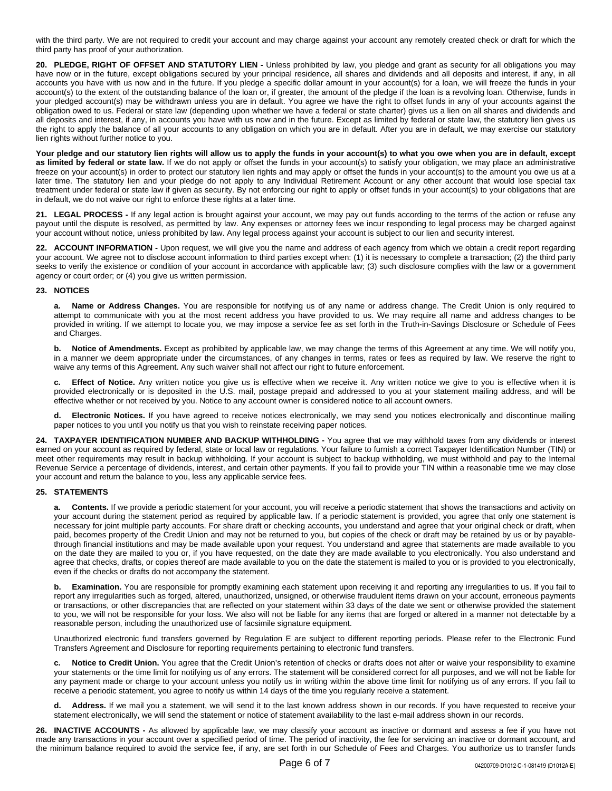with the third party. We are not required to credit your account and may charge against your account any remotely created check or draft for which the third party has proof of your authorization.

**20. PLEDGE, RIGHT OF OFFSET AND STATUTORY LIEN -** Unless prohibited by law, you pledge and grant as security for all obligations you may have now or in the future, except obligations secured by your principal residence, all shares and dividends and all deposits and interest, if any, in all accounts you have with us now and in the future. If you pledge a specific dollar amount in your account(s) for a loan, we will freeze the funds in your account(s) to the extent of the outstanding balance of the loan or, if greater, the amount of the pledge if the loan is a revolving loan. Otherwise, funds in your pledged account(s) may be withdrawn unless you are in default. You agree we have the right to offset funds in any of your accounts against the obligation owed to us. Federal or state law (depending upon whether we have a federal or state charter) gives us a lien on all shares and dividends and all deposits and interest, if any, in accounts you have with us now and in the future. Except as limited by federal or state law, the statutory lien gives us the right to apply the balance of all your accounts to any obligation on which you are in default. After you are in default, we may exercise our statutory lien rights without further notice to you.

**Your pledge and our statutory lien rights will allow us to apply the funds in your account(s) to what you owe when you are in default, except** as limited by federal or state law. If we do not apply or offset the funds in your account(s) to satisfy your obligation, we may place an administrative freeze on your account(s) in order to protect our statutory lien rights and may apply or offset the funds in your account(s) to the amount you owe us at a later time. The statutory lien and your pledge do not apply to any Individual Retirement Account or any other account that would lose special tax treatment under federal or state law if given as security. By not enforcing our right to apply or offset funds in your account(s) to your obligations that are in default, we do not waive our right to enforce these rights at a later time.

**21. LEGAL PROCESS -** If any legal action is brought against your account, we may pay out funds according to the terms of the action or refuse any payout until the dispute is resolved, as permitted by law. Any expenses or attorney fees we incur responding to legal process may be charged against your account without notice, unless prohibited by law. Any legal process against your account is subject to our lien and security interest.

**22. ACCOUNT INFORMATION -** Upon request, we will give you the name and address of each agency from which we obtain a credit report regarding your account. We agree not to disclose account information to third parties except when: (1) it is necessary to complete a transaction; (2) the third party seeks to verify the existence or condition of your account in accordance with applicable law; (3) such disclosure complies with the law or a government agency or court order; or (4) you give us written permission.

## **23. NOTICES**

**a. Name or Address Changes.** You are responsible for notifying us of any name or address change. The Credit Union is only required to attempt to communicate with you at the most recent address you have provided to us. We may require all name and address changes to be provided in writing. If we attempt to locate you, we may impose a service fee as set forth in the Truth-in-Savings Disclosure or Schedule of Fees and Charges.

**b.** Notice of Amendments. Except as prohibited by applicable law, we may change the terms of this Agreement at any time. We will notify you, in a manner we deem appropriate under the circumstances, of any changes in terms, rates or fees as required by law. We reserve the right to waive any terms of this Agreement. Any such waiver shall not affect our right to future enforcement.

**Effect of Notice.** Any written notice you give us is effective when we receive it. Any written notice we give to you is effective when it is provided electronically or is deposited in the U.S. mail, postage prepaid and addressed to you at your statement mailing address, and will be effective whether or not received by you. Notice to any account owner is considered notice to all account owners.

**d. Electronic Notices.** If you have agreed to receive notices electronically, we may send you notices electronically and discontinue mailing paper notices to you until you notify us that you wish to reinstate receiving paper notices.

**24. TAXPAYER IDENTIFICATION NUMBER AND BACKUP WITHHOLDING -** You agree that we may withhold taxes from any dividends or interest earned on your account as required by federal, state or local law or regulations. Your failure to furnish a correct Taxpayer Identification Number (TIN) or meet other requirements may result in backup withholding. If your account is subject to backup withholding, we must withhold and pay to the Internal Revenue Service a percentage of dividends, interest, and certain other payments. If you fail to provide your TIN within a reasonable time we may close your account and return the balance to you, less any applicable service fees.

## **25. STATEMENTS**

**a. Contents.** If we provide a periodic statement for your account, you will receive a periodic statement that shows the transactions and activity on your account during the statement period as required by applicable law. If a periodic statement is provided, you agree that only one statement is necessary for joint multiple party accounts. For share draft or checking accounts, you understand and agree that your original check or draft, when paid, becomes property of the Credit Union and may not be returned to you, but copies of the check or draft may be retained by us or by payablethrough financial institutions and may be made available upon your request. You understand and agree that statements are made available to you on the date they are mailed to you or, if you have requested, on the date they are made available to you electronically. You also understand and agree that checks, drafts, or copies thereof are made available to you on the date the statement is mailed to you or is provided to you electronically, even if the checks or drafts do not accompany the statement.

**b.** Examination. You are responsible for promptly examining each statement upon receiving it and reporting any irregularities to us. If you fail to report any irregularities such as forged, altered, unauthorized, unsigned, or otherwise fraudulent items drawn on your account, erroneous payments or transactions, or other discrepancies that are reflected on your statement within 33 days of the date we sent or otherwise provided the statement to you, we will not be responsible for your loss. We also will not be liable for any items that are forged or altered in a manner not detectable by a reasonable person, including the unauthorized use of facsimile signature equipment.

Unauthorized electronic fund transfers governed by Regulation E are subject to different reporting periods. Please refer to the Electronic Fund Transfers Agreement and Disclosure for reporting requirements pertaining to electronic fund transfers.

**c. Notice to Credit Union.** You agree that the Credit Union's retention of checks or drafts does not alter or waive your responsibility to examine your statements or the time limit for notifying us of any errors. The statement will be considered correct for all purposes, and we will not be liable for any payment made or charge to your account unless you notify us in writing within the above time limit for notifying us of any errors. If you fail to receive a periodic statement, you agree to notify us within 14 days of the time you regularly receive a statement.

**d. Address.** If we mail you a statement, we will send it to the last known address shown in our records. If you have requested to receive your statement electronically, we will send the statement or notice of statement availability to the last e-mail address shown in our records.

**26. INACTIVE ACCOUNTS -** As allowed by applicable law, we may classify your account as inactive or dormant and assess a fee if you have not made any transactions in your account over a specified period of time. The period of inactivity, the fee for servicing an inactive or dormant account, and the minimum balance required to avoid the service fee, if any, are set forth in our Schedule of Fees and Charges. You authorize us to transfer funds